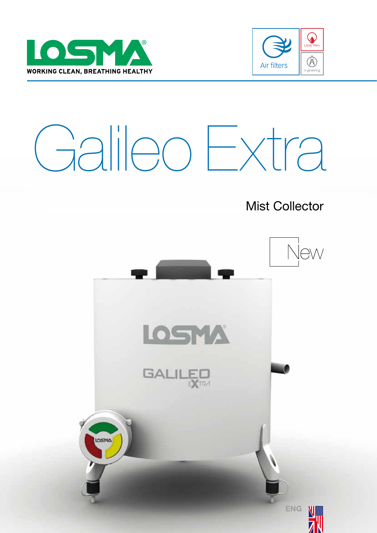



# Galileo Extra

## Mist Collector

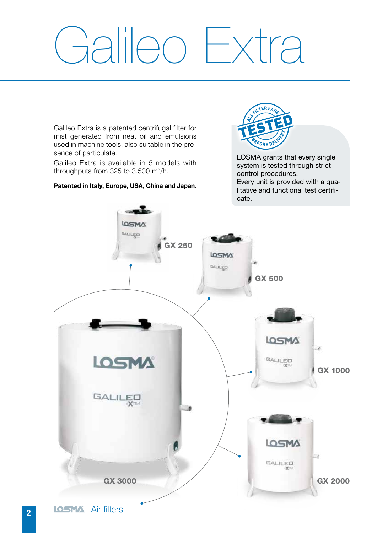# Galileo Extra

Galileo Extra is a patented centrifugal filter for mist generated from neat oil and emulsions used in machine tools, also suitable in the presence of particulate.

Galileo Extra is available in 5 models with throughputs from 325 to 3.500 m3/h.

#### Patented in Italy, Europe, USA, China and Japan.



LOSMA grants that every single system is tested through strict control procedures. Every unit is provided with a qualitative and functional test certificate.

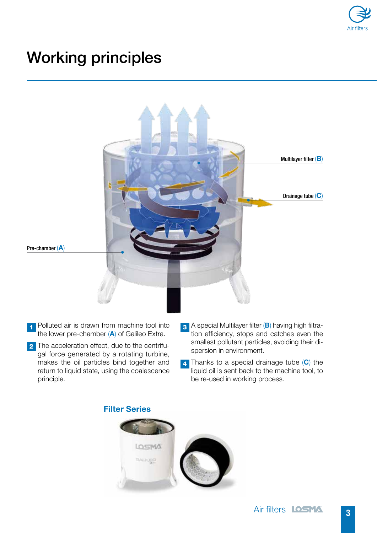

# Working principles



- **1** Polluted air is drawn from machine tool into the lower pre-chamber  $(A)$  of Galileo Extra.
- 2 The acceleration effect, due to the centrifugal force generated by a rotating turbine, makes the oil particles bind together and return to liquid state, using the coalescence principle.
- 3 A special Multilayer filter (B) having high filtration efficiency, stops and catches even the smallest pollutant particles, avoiding their dispersion in environment.
- 4 Thanks to a special drainage tube (C) the liquid oil is sent back to the machine tool, to be re-used in working process.

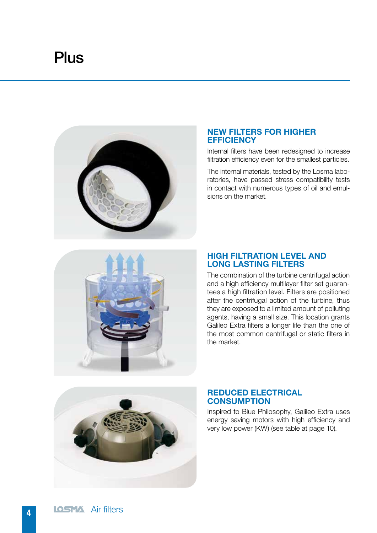

#### NEW FILTERS FOR HIGHER **EFFICIENCY**

Internal filters have been redesigned to increase filtration efficiency even for the smallest particles.

The internal materials, tested by the Losma laboratories, have passed stress compatibility tests in contact with numerous types of oil and emulsions on the market.



#### HIGH FILTRATION LEVEL AND LONG LASTING FILTERS

The combination of the turbine centrifugal action and a high efficiency multilayer filter set guarantees a high filtration level. Filters are positioned after the centrifugal action of the turbine, thus they are exposed to a limited amount of polluting agents, having a small size. This location grants Galileo Extra filters a longer life than the one of the most common centrifugal or static filters in the market.



#### REDUCED ELECTRICAL **CONSUMPTION**

Inspired to Blue Philosophy, Galileo Extra uses energy saving motors with high efficiency and very low power (KW) (see table at page 10).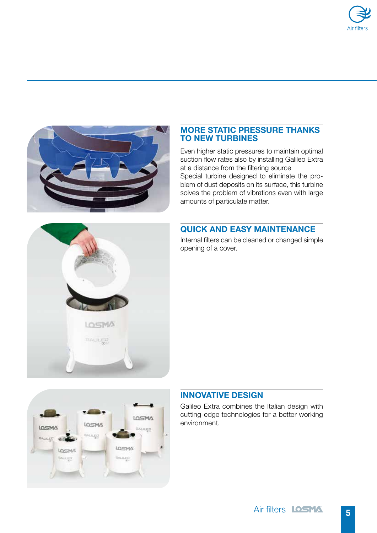



### MORE STATIC PRESSURE THANKS TO NEW TURBINES

Even higher static pressures to maintain optimal suction flow rates also by installing Galileo Extra at a distance from the filtering source Special turbine designed to eliminate the problem of dust deposits on its surface, this turbine solves the problem of vibrations even with large amounts of particulate matter.

#### QUICK AND EASY MAINTENANCE

Internal filters can be cleaned or changed simple opening of a cover.



LOSMA

GALALEO

LOSMA

LOSTMA

that is are

LOSMA

MARED

LOSWA

**TALBAR** 

## INNOVATIVE DESIGN

Galileo Extra combines the Italian design with cutting-edge technologies for a better working environment.

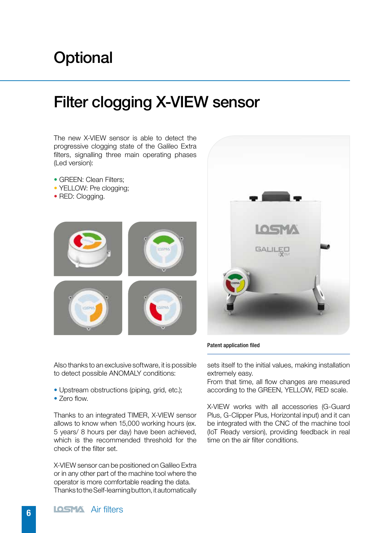## **Optional**

## Filter clogging X-VIEW sensor

The new X-VIEW sensor is able to detect the progressive clogging state of the Galileo Extra filters, signalling three main operating phases (Led version):

- GREEN: Clean Filters:
- YELLOW: Pre clogging;
- RED: Clogging.





Patent application filed

Also thanks to an exclusive software, it is possible to detect possible ANOMALY conditions:

- Upstream obstructions (piping, grid, etc.);
- Zero flow.

Thanks to an integrated TIMER, X-VIEW sensor allows to know when 15,000 working hours (ex. 5 years/ 8 hours per day) have been achieved, which is the recommended threshold for the check of the filter set.

X-VIEW sensor can be positioned on Galileo Extra or in any other part of the machine tool where the operator is more comfortable reading the data. Thanks to the Self-learning button, it automatically

sets itself to the initial values, making installation extremely easy.

From that time, all flow changes are measured according to the GREEN, YELLOW, RED scale.

X-VIEW works with all accessories (G-Guard Plus, G-Clipper Plus, Horizontal input) and it can be integrated with the CNC of the machine tool (IoT Ready version), providing feedback in real time on the air filter conditions.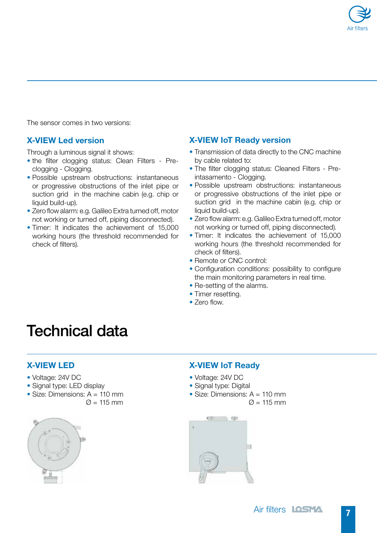

The sensor comes in two versions:

### X-VIEW Led version

Through a luminous signal it shows:

- the filter clogging status: Clean Filters Preclogging - Clogging.
- Possible upstream obstructions: instantaneous or progressive obstructions of the inlet pipe or suction grid in the machine cabin (e.g. chip or liquid build-up).
- Zero flow alarm: e.g. Galileo Extra turned off, motor not working or turned off, piping disconnected).
- Timer: It indicates the achievement of 15,000 working hours (the threshold recommended for check of filters).

#### X-VIEW IoT Ready version

- Transmission of data directly to the CNC machine by cable related to:
- The filter clogging status: Cleaned Filters Preintasamento - Clogging.
- Possible upstream obstructions: instantaneous or progressive obstructions of the inlet pipe or suction grid in the machine cabin (e.g. chip or liquid build-up).
- Zero flow alarm: e.g. Galileo Extra turned off, motor not working or turned off, piping disconnected).
- Timer: It indicates the achievement of 15,000 working hours (the threshold recommended for check of filters).
- Remote or CNC control:
- Configuration conditions: possibility to configure the main monitoring parameters in real time.
- Re-setting of the alarms.
- Timer resetting.
- Zero flow.

# Technical data

#### X-VIEW LED

- Voltage: 24V DC
- Signal type: LED display
- Size: Dimensions: A = 110 mm  $\varnothing$  = 115 mm



## X-VIEW IoT Ready

- Voltage: 24V DC
- Signal type: Digital
- Size: Dimensions: A = 110 mm  $\varnothing$  = 115 mm

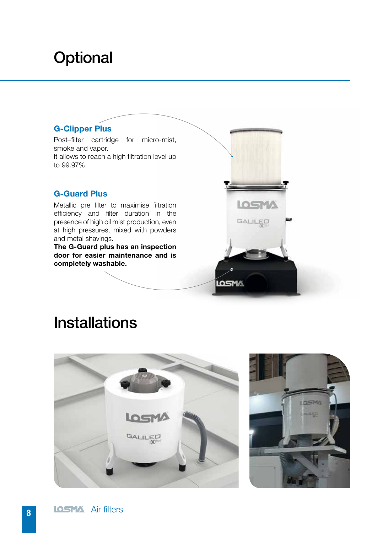## **Optional**

## G-Clipper Plus

Post–filter cartridge for micro-mist, smoke and vapor. It allows to reach a high filtration level up to 99.97%.

### G-Guard Plus

Metallic pre filter to maximise filtration efficiency and filter duration in the presence of high oil mist production, even at high pressures, mixed with powders and metal shavings.

The G-Guard plus has an inspection door for easier maintenance and is completely washable.



## **Installations**

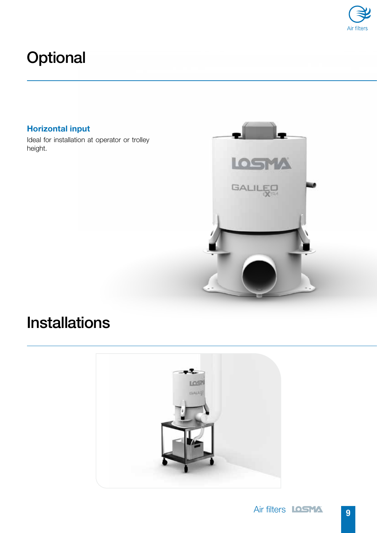

# **Optional**

## Horizontal input

Ideal for installation at operator or trolley height.



## **Installations**

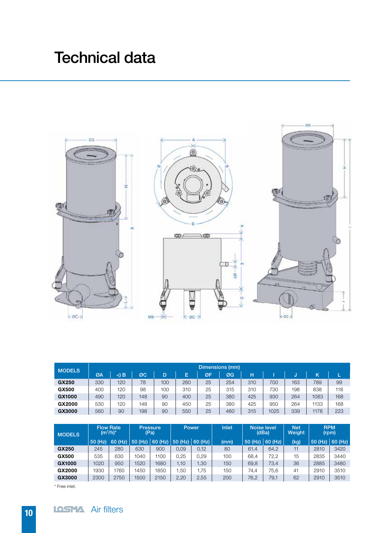# Technical data



| <b>MODELS</b> | Dimensions (mm) |      |     |     |     |    |     |     |      |     |      |     |
|---------------|-----------------|------|-----|-----|-----|----|-----|-----|------|-----|------|-----|
|               | ØA              | <) B | ØC  | D.  | E   | ØF | ØG  | н   |      |     | κ    |     |
| GX250         | 330             | 120  | 78  | 100 | 280 | 25 | 254 | 310 | 700  | 163 | 789  | 99  |
| GX500         | 400             | 120  | 98  | 100 | 310 | 25 | 315 | 310 | 730  | 198 | 838  | 118 |
| GX1000        | 490             | 120  | 148 | 90  | 400 | 25 | 380 | 425 | 930  | 264 | 1083 | 168 |
| GX2000        | 530             | 120  | 148 | 90  | 450 | 25 | 380 | 425 | 950  | 264 | 1133 | 168 |
| GX3000        | 560             | 90   | 198 | 90  | 550 | 25 | 460 | 315 | 1025 | 339 | 1178 | 223 |

| <b>MODELS</b> | <b>Flow Rate</b><br>$(m^3/h)^*$ |         | <b>Pressure</b><br>(Pa) |         | <b>Power</b> |           | Inlet | Noise level<br>(dBa) |         | <b>Net</b><br>Weight | <b>RPM</b><br>(rpm) |           |
|---------------|---------------------------------|---------|-------------------------|---------|--------------|-----------|-------|----------------------|---------|----------------------|---------------------|-----------|
|               | $50$ (Hz)                       | 60 (Hz) | (Hz)<br>50              | 60 (Hz) | $50$ (Hz)    | $60$ (Hz) | (mm)  | $50$ (Hz)            | 60 (Hz) | (kg)                 | $50$ (Hz)           | $60$ (Hz) |
| GX250         | 245                             | 280     | 630                     | 900     | 0.09         | 0.12      | 80    | 61.4                 | 64,2    | 11                   | 2810                | 3420      |
| GX500         | 535                             | 630     | 1040                    | 1100    | 0.25         | 0.29      | 100   | 68.4                 | 72.2    | 15                   | 2835                | 3440      |
| GX1000        | 1020                            | 950     | 520                     | 1680    | 1.10         | .30       | 150   | 69.8                 | 73,4    | 36                   | 2885                | 3480      |
| GX2000        | 1930                            | 1760    | 450                     | 1850    | .50          | 1.75      | 150   | 74.4                 | 75.6    | 41                   | 2910                | 3510      |
| GX3000        | 2300                            | 2750    | 1500                    | 2150    | 2,20         | 2,55      | 200   | 76,2                 | 79,1    | 62                   | 2910                | 3510      |

\* Free inlet.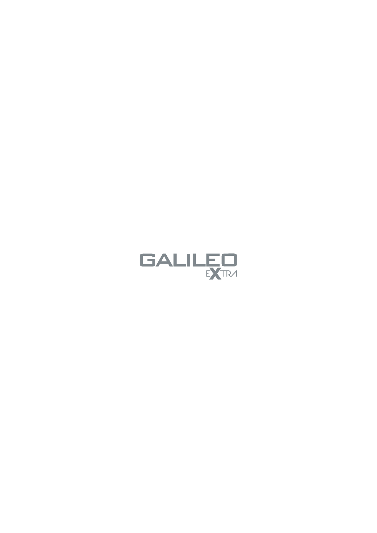